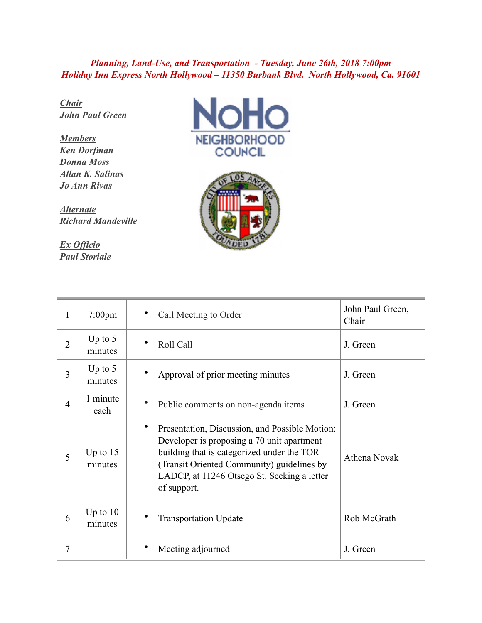## *Planning, Land-Use, and Transportation - Tuesday, June 26th, 2018 7:00pm Holiday Inn Express North Hollywood – 11350 Burbank Blvd. North Hollywood, Ca. 91601*

*Chair John Paul Green* 

*Members Ken Dorfman Donna Moss Allan K. Salinas Jo Ann Rivas* 

*Alternate Richard Mandeville* 

*Ex Officio Paul Storiale* 





| 1              | $7:00 \text{pm}$      | Call Meeting to Order                                                                                                                                                                                                                                  | John Paul Green,<br>Chair |
|----------------|-----------------------|--------------------------------------------------------------------------------------------------------------------------------------------------------------------------------------------------------------------------------------------------------|---------------------------|
| $\overline{2}$ | Up to $5$<br>minutes  | Roll Call                                                                                                                                                                                                                                              | J. Green                  |
| 3              | Up to $5$<br>minutes  | Approval of prior meeting minutes                                                                                                                                                                                                                      | J. Green                  |
| $\overline{4}$ | 1 minute<br>each      | Public comments on non-agenda items                                                                                                                                                                                                                    | J. Green                  |
| 5              | Up to $15$<br>minutes | Presentation, Discussion, and Possible Motion:<br>Developer is proposing a 70 unit apartment<br>building that is categorized under the TOR<br>(Transit Oriented Community) guidelines by<br>LADCP, at 11246 Otsego St. Seeking a letter<br>of support. | Athena Novak              |
| 6              | Up to $10$<br>minutes | <b>Transportation Update</b>                                                                                                                                                                                                                           | Rob McGrath               |
| 7              |                       | Meeting adjourned                                                                                                                                                                                                                                      | J. Green                  |